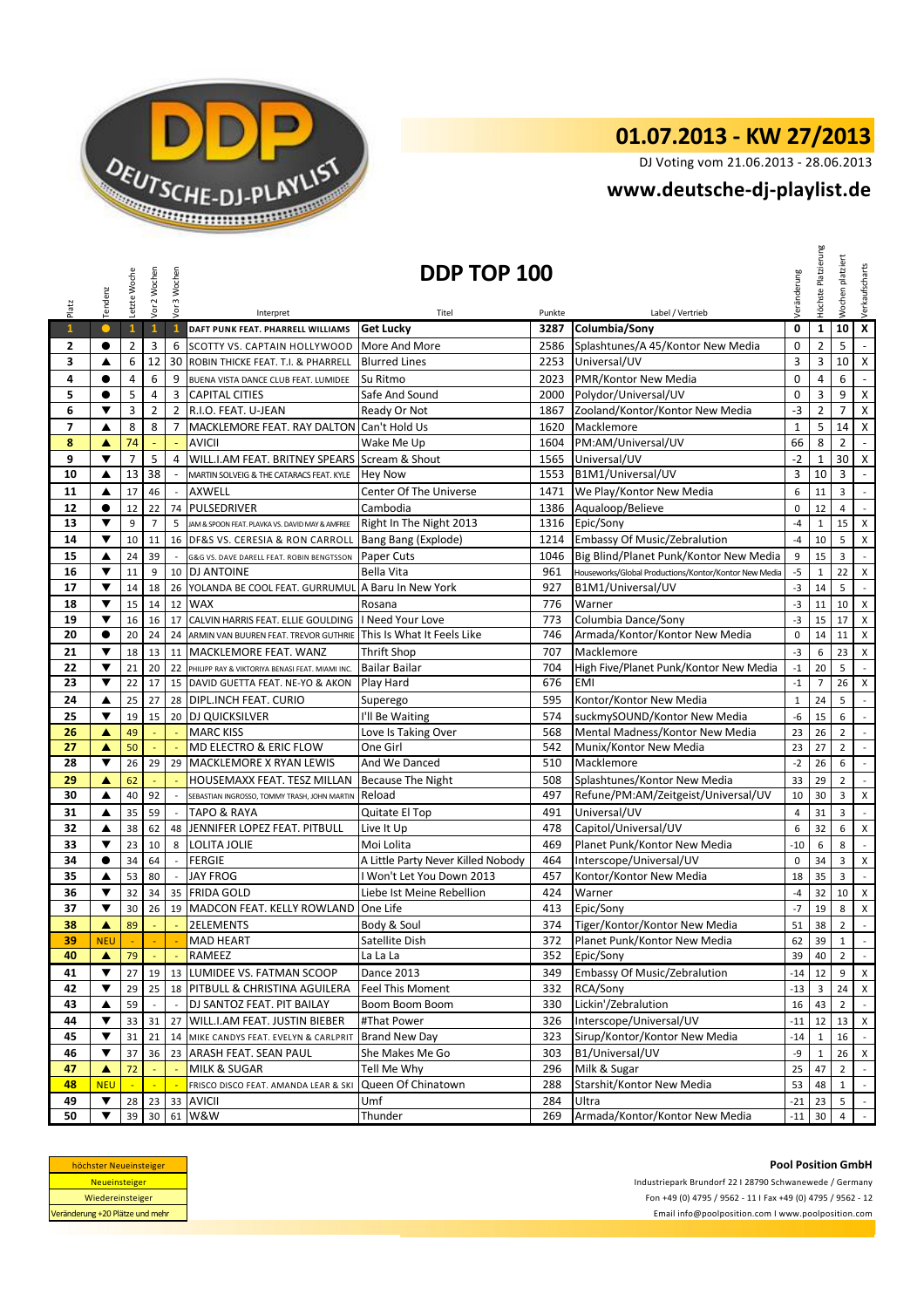

DJ Voting vom 21.06.2013 - 28.06.2013

## **<www.deutsche-dj-playlist.de>**

| Platz               | Tendenz              | Letzte Woche         | Vor 2 Wochen   | Vor 3 Wochen             |                                                     | DDP TOP 100<br>Label / Vertrieb<br>Interpret<br>Titel<br>Punkte |            |                                                       |                            | Höchste Platzierung             | platziert<br>Wochen            | Verkaufscharts                           |
|---------------------|----------------------|----------------------|----------------|--------------------------|-----------------------------------------------------|-----------------------------------------------------------------|------------|-------------------------------------------------------|----------------------------|---------------------------------|--------------------------------|------------------------------------------|
| $\mathbf{1}$        | $\bullet$            | $\mathbf{1}$         | $\mathbf{1}$   | $\mathbf{1}$             | DAFT PUNK FEAT. PHARRELL WILLIAMS                   | <b>Get Lucky</b>                                                | 3287       | Columbia/Sony                                         | Veränderung<br>$\mathbf 0$ | $\mathbf{1}$                    | 10                             | $\overline{\mathbf{x}}$                  |
| 2                   | $\bullet$            | $\overline{2}$       | 3              | 6                        | SCOTTY VS. CAPTAIN HOLLYWOOD                        | More And More                                                   | 2586       | Splashtunes/A 45/Kontor New Media                     | $\mathbf 0$                | $\overline{2}$                  | 5                              | $\blacksquare$                           |
| 3                   | ▲                    | 6                    | 12             | 30                       | ROBIN THICKE FEAT. T.I. & PHARRELL                  | <b>Blurred Lines</b>                                            | 2253       | Universal/UV                                          | $\overline{3}$             | 3                               | 10                             | $\mathsf X$                              |
| 4                   | $\bullet$            | 4                    | 6              | 9                        |                                                     | Su Ritmo                                                        | 2023       | PMR/Kontor New Media                                  |                            | 4                               | 6                              | $\blacksquare$                           |
| 5                   | $\bullet$            | 5                    | $\sqrt{4}$     | 3                        | BUENA VISTA DANCE CLUB FEAT. LUMIDEE                |                                                                 |            | Polydor/Universal/UV                                  | $\mathbf 0$<br>$\mathbf 0$ | 3                               | 9                              | $\pmb{\mathsf{X}}$                       |
|                     |                      |                      |                |                          | <b>CAPITAL CITIES</b>                               | Safe And Sound                                                  | 2000       |                                                       |                            |                                 |                                |                                          |
| 6<br>$\overline{7}$ | ▼                    | 3                    | $\overline{2}$ | $\overline{2}$           | R.I.O. FEAT. U-JEAN                                 | Ready Or Not                                                    | 1867       | Zooland/Kontor/Kontor New Media                       | $-3$<br>$\mathbf{1}$       | $\mathbf{2}$                    | $\overline{7}$                 | $\pmb{\mathsf{X}}$                       |
|                     | ▲                    | 8                    | 8              | $\overline{7}$           | MACKLEMORE FEAT. RAY DALTON Can't Hold Us           |                                                                 | 1620       | Macklemore                                            | 66                         | 5                               | 14<br>$\overline{2}$           | $\pmb{\times}$                           |
| 8<br>9              | ▲<br>▼               | 74<br>$\overline{7}$ | 5              | $\overline{4}$           | AVICII                                              | Wake Me Up                                                      | 1604       | PM:AM/Universal/UV<br>Universal/UV                    | $-2$                       | 8                               | 30                             | $\blacksquare$<br>$\mathsf{X}$           |
| 10                  |                      |                      |                |                          | WILL.I.AM FEAT. BRITNEY SPEARS Scream & Shout       |                                                                 | 1565       | 1553 B1M1/Universal/UV                                | 3                          | $\mathbf{1}$                    | 3                              | $\omega$                                 |
|                     | ▲                    | 13                   | 38             |                          | MARTIN SOLVEIG & THE CATARACS FEAT. KYLE            | <b>Hey Now</b>                                                  |            |                                                       |                            | 10                              |                                |                                          |
| 11                  | $\blacktriangle$     | 17                   | 46             | $\sim$                   | AXWELL                                              | Center Of The Universe                                          | 1471       | We Play/Kontor New Media                              | 6                          | 11                              | 3                              | $\mathcal{L}_{\mathcal{A}}$              |
| 12                  | $\bullet$            | 12                   | 22             |                          | 74 PULSEDRIVER                                      | Cambodia                                                        | 1386       | Aqualoop/Believe                                      | $\mathbf 0$                | 12                              | 4                              | $\mathbb{Z}^2$                           |
| 13                  | ▼                    | 9                    | $\overline{7}$ | 5                        | JAM & SPOON FEAT. PLAVKA VS. DAVID MAY & AMFREE     | Right In The Night 2013                                         |            | 1316 Epic/Sony                                        | $-4$                       | $\mathbf{1}$                    | 15                             | X                                        |
| 14                  | ▼                    | 10                   | 11             |                          | 16 DF&S VS. CERESIA & RON CARROLL                   | Bang Bang (Explode)                                             | 1214       | <b>Embassy Of Music/Zebralution</b>                   | $-4$                       | 10                              | 5                              | X                                        |
| 15                  | ▲                    | 24                   | 39             |                          | G&G VS. DAVE DARELL FEAT. ROBIN BENGTSSON           | Paper Cuts                                                      | 1046       | Big Blind/Planet Punk/Kontor New Media                | 9                          | 15                              | 3                              | $\mathcal{L}$                            |
| 16                  | ▼                    | 11                   | $\overline{9}$ |                          | 10 DJ ANTOINE                                       | Bella Vita                                                      | 961        | Houseworks/Global Productions/Kontor/Kontor New Media | $-5$                       | $\mathbf{1}$                    | 22                             | $\pmb{\mathsf{X}}$                       |
| 17                  | ▼                    | 14                   | 18             | 26                       | YOLANDA BE COOL FEAT. GURRUMUL A Baru In New York   |                                                                 | 927        | B1M1/Universal/UV                                     | $-3$                       | 14                              | 5                              | $\sim$                                   |
| 18                  | ▼                    | 15                   | 14             | 12                       | <b>WAX</b>                                          | Rosana                                                          | 776        | Warner                                                | $-3$                       | 11                              | 10                             | $\pmb{\times}$                           |
| 19                  | $\blacktriangledown$ | 16                   | 16             | 17                       | CALVIN HARRIS FEAT. ELLIE GOULDING   Need Your Love |                                                                 | 773        | Columbia Dance/Sony<br>Armada/Kontor/Kontor New Media | $-3$                       | 15                              | 17                             | X                                        |
| 20                  | $\bullet$            | 20                   | 24             | 24                       | ARMIN VAN BUUREN FEAT. TREVOR GUTHRIE               | This Is What It Feels Like                                      | 746        |                                                       | $\mathbf 0$                | 14                              | 11                             | X                                        |
| 21                  | ▼                    | 18                   | 13             | 11                       | MACKLEMORE FEAT. WANZ                               | <b>Thrift Shop</b>                                              | 707        | Macklemore                                            | $-3$                       | 6                               | 23                             | X                                        |
| 22                  | ▼                    | 21                   | 20             | 22                       | PHILIPP RAY & VIKTORIYA BENASI FEAT. MIAMI INC.     | Bailar Bailar                                                   | 704        | High Five/Planet Punk/Kontor New Media                | $^{\rm -1}$                | 20                              | 5                              | $\mathcal{L}$                            |
| 23                  | ▼                    | 22                   | 17             |                          | 15 DAVID GUETTA FEAT. NE-YO & AKON                  | Play Hard                                                       | 676        | <b>EMI</b>                                            | $-1$                       | $\overline{7}$                  | 26                             | $\pmb{\mathsf{X}}$                       |
| 24                  | ▲                    | 25                   | 27             | 28                       | <b>DIPL.INCH FEAT. CURIO</b>                        | Superego                                                        | 595        | Kontor/Kontor New Media                               | $\mathbf{1}$               | 24                              | 5                              | $\mathbb{Z}^2$                           |
| 25                  | ▼                    | 19                   | 15             |                          | 20 DJ QUICKSILVER                                   | I'll Be Waiting                                                 | 574        | suckmySOUND/Kontor New Media                          | -6                         | 15                              | 6                              | $\sim$                                   |
| 26                  | ▲                    | 49                   |                |                          | <b>MARC KISS</b>                                    | Love Is Taking Over                                             | 568        | Mental Madness/Kontor New Media                       | 23                         | 26                              | $\overline{2}$                 | $\mathbb{Z}^2$                           |
| 27                  | ▲                    | 50                   | ÷,             | ÷,                       | MD ELECTRO & ERIC FLOW                              | One Girl                                                        | 542        | Munix/Kontor New Media                                | 23                         | 27                              | $\overline{2}$                 | $\mathbb{R}^{\mathbb{Z}}$                |
| 28                  | ▼                    | 26                   | 29             | 29                       | MACKLEMORE X RYAN LEWIS                             | And We Danced                                                   | 510        | Macklemore                                            | $-2$                       | 26                              | 6                              | $\sim$                                   |
| 29                  | ▲                    | 62                   |                |                          | HOUSEMAXX FEAT. TESZ MILLAN                         | <b>Because The Night</b>                                        | 508        | Splashtunes/Kontor New Media                          | 33                         | 29                              | $\overline{2}$                 | $\sim$                                   |
| 30                  | ▲                    | 40                   | 92             | $\mathbb{Z}^2$           | SEBASTIAN INGROSSO, TOMMY TRASH, JOHN MARTIN        | Reload                                                          | 497        | Refune/PM:AM/Zeitgeist/Universal/UV                   | 10                         | 30                              | 3                              | $\pmb{\mathsf{X}}$                       |
| 31                  | ▲                    | 35                   | 59             | $\overline{\phantom{a}}$ | TAPO & RAYA                                         | Quitate El Top                                                  | 491        | Universal/UV                                          | $\overline{4}$             | 31                              | 3                              | $\mathcal{L}_{\mathcal{A}}$              |
| 32                  | ▲                    | 38                   | 62             | 48                       | JENNIFER LOPEZ FEAT. PITBULL                        | Live It Up                                                      | 478        | Capitol/Universal/UV                                  | 6                          | 32                              | 6                              | $\mathsf X$                              |
| 33                  | $\blacktriangledown$ | 23                   | 10             | 8                        | LOLITA JOLIE                                        | Moi Lolita                                                      | 469        | Planet Punk/Kontor New Media                          | $-10$                      | 6                               | 8                              | $\mathcal{L}^{\mathcal{A}}$              |
| 34                  | $\bullet$            | 34                   | 64             | $\sim$                   | <b>FERGIE</b>                                       | A Little Party Never Killed Nobody                              | 464        | Interscope/Universal/UV                               | $\mathbf 0$                | 34                              | 3                              | $\pmb{\mathsf{X}}$                       |
| 35                  | ▲                    | 53                   | 80             | $\mathbb{Z}^2$           | <b>JAY FROG</b>                                     | I Won't Let You Down 2013                                       | 457        | Kontor/Kontor New Media                               | 18                         | 35                              | 3                              | $\mathbb{L}$                             |
| 36                  | ▼<br>▼               | 32                   | 34             |                          | 35 FRIDA GOLD                                       | Liebe Ist Meine Rebellion<br>One Life                           | 424        | Warner                                                | $-4$<br>$-7$               | 32                              | 10                             | $\boldsymbol{\mathsf{X}}$<br>$\mathsf X$ |
| 37<br>38            | A                    | 30                   | 26             | ÷.                       | 19 MADCON FEAT. KELLY ROWLAND                       | Body & Soul                                                     | 413        | Epic/Sony<br>Tiger/Kontor/Kontor New Media            |                            | 19                              | 8                              | $\mathbb{Z}^2$                           |
|                     |                      | 89                   |                |                          | 2ELEMENTS                                           |                                                                 | 374        |                                                       | 51                         | 38                              | $\overline{2}$                 |                                          |
| 39<br>40            | <b>NEU</b><br>▲      | 79                   |                |                          | MAD HEART<br>RAMEEZ                                 | Satellite Dish<br>La La La                                      | 372<br>352 | Planet Punk/Kontor New Media<br>Epic/Sony             | 62<br>39                   | 39<br>40                        | $\mathbf{1}$<br>$\overline{2}$ | $\sim$<br>$\sim$                         |
|                     | $\blacktriangledown$ | 27                   | 19             | 13                       | LUMIDEE VS. FATMAN SCOOP                            | Dance 2013                                                      | 349        | Embassy Of Music/Zebralution                          |                            | 12                              | 9                              | $\mathsf{x}$                             |
| 41                  | ▼                    |                      | 25             | 18                       | PITBULL & CHRISTINA AGUILERA                        | <b>Feel This Moment</b>                                         |            |                                                       | $-14$                      |                                 |                                |                                          |
| 42<br>43            | ▲                    | 29<br>59             |                |                          | DJ SANTOZ FEAT. PIT BAILAY                          | Boom Boom Boom                                                  | 332<br>330 | RCA/Sony<br>Lickin'/Zebralution                       | $-13$<br>16                | 3<br>43                         | 24<br>$\overline{2}$           | $\mathsf{x}$<br>$\sim$                   |
| 44                  | ▼                    |                      | 31             | 27                       | WILL.I.AM FEAT. JUSTIN BIEBER                       | #That Power                                                     | 326        | Interscope/Universal/UV                               |                            |                                 |                                | $\mathsf{x}$                             |
| 45                  | $\blacktriangledown$ | 33<br>31             | 21             | 14                       | MIKE CANDYS FEAT. EVELYN & CARLPRIT                 | <b>Brand New Day</b>                                            | 323        | Sirup/Kontor/Kontor New Media                         | $-11$<br>$-14$             | 12 <sup>1</sup><br>$\mathbf{1}$ | 13 <sup>1</sup><br>16          | $\sim$                                   |
| 46                  | ▼                    | 37                   | 36             |                          | 23 ARASH FEAT. SEAN PAUL                            | She Makes Me Go                                                 | 303        | B1/Universal/UV                                       | $-9$                       | $\mathbf{1}$                    | 26                             | $\mathsf{X}$                             |
| 47                  | ▲                    | 72                   |                |                          | MILK & SUGAR                                        | Tell Me Why                                                     | 296        | Milk & Sugar                                          | 25                         | 47                              | $\overline{2}$                 | $\sim$                                   |
| 48                  | <b>NEU</b>           |                      |                | .,                       | FRISCO DISCO FEAT. AMANDA LEAR & SKI                | Queen Of Chinatown                                              | 288        | Starshit/Kontor New Media                             | 53                         | 48                              | $\mathbf{1}$                   | $\sim$                                   |
| 49                  | ▼                    | 28                   | 23             | 33                       | AVICII                                              | Umf                                                             | 284        | Ultra                                                 | $-21$                      | 23                              | 5                              | $\sim$                                   |
| 50                  | ▼                    | 39                   | 30             | 61                       | w&w                                                 | Thunder                                                         | 269        | Armada/Kontor/Kontor New Media                        | $-11$                      | 30                              | 4                              | $\sim$                                   |
|                     |                      |                      |                |                          |                                                     |                                                                 |            |                                                       |                            |                                 |                                |                                          |

| höchster Neueinsteiger          |
|---------------------------------|
| <b>Neueinsteiger</b>            |
| Wiedereinsteiger                |
| Veränderung +20 Plätze und mehr |

Fon +49 (0) 4795 / 9562 - 11 I Fax +49 (0) 4795 / 9562 - 12 <Email info@poolposition.com I www.poolposition.com> **Pool Position GmbH** Industriepark Brundorf 22 I 28790 Schwanewede / Germany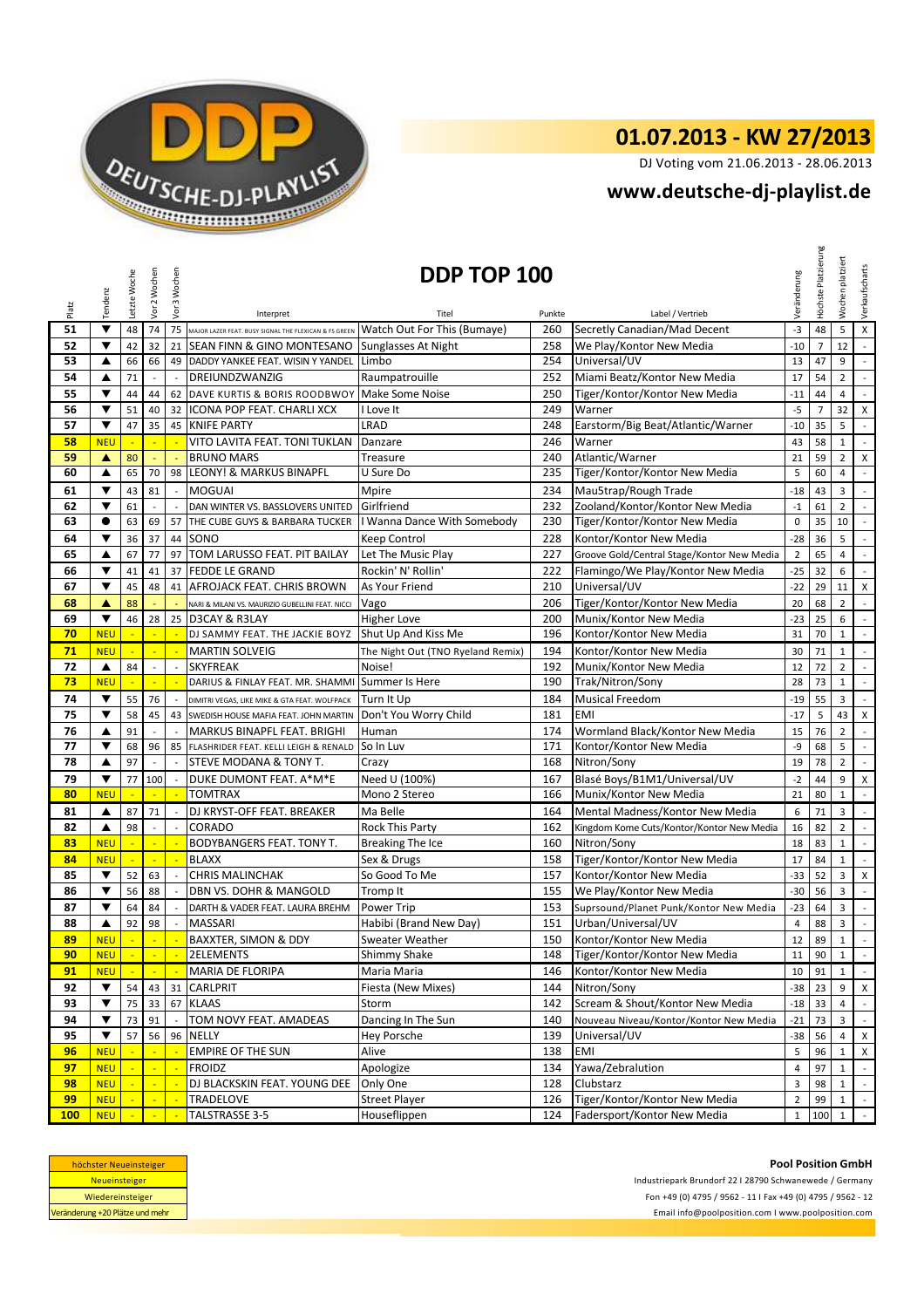

DJ Voting vom 21.06.2013 - 28.06.2013

## **<www.deutsche-dj-playlist.de>**

| Platz            | Tendenz                  | Letzte Woche | Vor 2 Wochen             | Vor 3 Wochen                |                                                                                   | DDP TOP 100<br>Label / Vertrieb<br>Interpret<br>Titel<br>Punkte |            |                                                              |                               | Höchste Platzierung | platziert<br>Wochen | Verkaufscharts              |
|------------------|--------------------------|--------------|--------------------------|-----------------------------|-----------------------------------------------------------------------------------|-----------------------------------------------------------------|------------|--------------------------------------------------------------|-------------------------------|---------------------|---------------------|-----------------------------|
| 51               | ▼                        | 48           | 74                       | 75                          | MAJOR LAZER FEAT. BUSY SIGNAL THE FLEXICAN & FS GREEN Watch Out For This (Bumaye) |                                                                 | 260        | Secretly Canadian/Mad Decent                                 | Veränderung<br>$-3$           | 48                  | 5                   | $\pmb{\mathsf{X}}$          |
| 52               | ▼                        | 42           | 32                       | 21                          | SEAN FINN & GINO MONTESANO                                                        | Sunglasses At Night                                             | 258        | We Play/Kontor New Media                                     | $-10$                         | 7                   | 12                  | $\sim$                      |
| 53               | ▲                        | 66           | 66                       |                             | 49 DADDY YANKEE FEAT. WISIN Y YANDEL                                              | Limbo                                                           | 254        | Universal/UV                                                 | 13                            | 47                  | 9                   | $\sim$                      |
| 54               | ▲                        | 71           |                          | $\mathcal{L}_{\mathcal{A}}$ | DREIUNDZWANZIG                                                                    | Raumpatrouille                                                  | 252        | Miami Beatz/Kontor New Media                                 | 17                            | 54                  | $\overline{2}$      | $\mathbb{Z}^+$              |
| 55               | ▼                        | 44           | 44                       |                             | 62 DAVE KURTIS & BORIS ROODBWOY                                                   | Make Some Noise                                                 |            | Tiger/Kontor/Kontor New Media                                | $-11$                         | 44                  | 4                   | $\mathbb{Z}^+$              |
| 56               | ▼                        | 51           | 40                       |                             | 32 ICONA POP FEAT. CHARLI XCX                                                     | I Love It                                                       | 250<br>249 | Warner                                                       | $-5$                          | $\overline{7}$      | 32                  | $\boldsymbol{\mathsf{X}}$   |
| 57               | ▼                        | 47           | 35                       |                             | 45 KNIFE PARTY                                                                    | LRAD                                                            | 248        | Earstorm/Big Beat/Atlantic/Warner                            | $-10$                         | 35                  | 5                   | $\mathbb{L}$                |
| 58               | <b>NEU</b>               | ÷            |                          |                             | VITO LAVITA FEAT. TONI TUKLAN                                                     | Danzare                                                         | 246        | Warner                                                       | 43                            | 58                  | $\mathbf{1}$        | $\mathbb{Z}^2$              |
| 59               | ▲                        | 80           |                          |                             | <b>BRUNO MARS</b>                                                                 | <b>Treasure</b>                                                 | 240        | Atlantic/Warner                                              | 21                            | 59                  | $\overline{2}$      | $\times$                    |
| 60               | ▲                        | 65           | 70                       | 98                          | LEONY! & MARKUS BINAPFL                                                           | U Sure Do                                                       | 235        | Tiger/Kontor/Kontor New Media                                | 5                             | 60                  | $\overline{4}$      | $\sim$                      |
| 61               | ▼                        | 43           | 81                       |                             | <b>MOGUAI</b>                                                                     | Mpire                                                           | 234        | Mau5trap/Rough Trade                                         | $-18$                         | 43                  | 3                   | $\sim$                      |
| 62               | ▼                        | 61           | $\overline{\phantom{a}}$ | $\overline{a}$              | DAN WINTER VS. BASSLOVERS UNITED                                                  | Girlfriend                                                      | 232        | Zooland/Kontor/Kontor New Media                              | $^{\rm -1}$                   | 61                  | $\overline{2}$      | $\mathbb{Z}^{\mathbb{Z}}$   |
| 63               | $\bullet$                | 63           | 69                       |                             | 57 THE CUBE GUYS & BARBARA TUCKER                                                 | I Wanna Dance With Somebody                                     | 230        | Tiger/Kontor/Kontor New Media                                | $\mathbf 0$                   | 35                  | 10                  | $\sim$                      |
| 64               | $\blacktriangledown$     | 36           | 37                       |                             | 44 SONO                                                                           | Keep Control                                                    | 228        | Kontor/Kontor New Media                                      | $-28$                         | 36                  | 5                   | $\sim$                      |
| 65               | ▲                        | 67           | 77                       |                             | 97   TOM LARUSSO FEAT. PIT BAILAY                                                 | Let The Music Play                                              | 227        | Groove Gold/Central Stage/Kontor New Media                   | $\overline{2}$                | 65                  | $\overline{4}$      | $\mathcal{L}^{\mathcal{A}}$ |
| 66               | ▼                        | 41           | 41                       | 37                          | <b>FEDDE LE GRAND</b>                                                             | Rockin' N' Rollin'                                              | 222        | Flamingo/We Play/Kontor New Media                            | $-25$                         | 32                  | 6                   | $\sim$                      |
| 67               | ▼                        | 45           | 48                       | 41                          | <b>AFROJACK FEAT. CHRIS BROWN</b>                                                 | As Your Friend                                                  | 210        | Universal/UV                                                 | $-22$                         | 29                  | 11                  | $\mathsf{X}$                |
| 68               | ▲                        | 88           |                          |                             | NARI & MILANI VS. MAURIZIO GUBELLINI FEAT. NICCI                                  | Vago                                                            | 206        | Tiger/Kontor/Kontor New Media                                | 20                            | 68                  | $\overline{2}$      | $\mathbb{L}$                |
| 69               | $\blacktriangledown$     | 46           | 28                       |                             | 25 D3CAY & R3LAY                                                                  | Higher Love                                                     | 200        | Munix/Kontor New Media                                       | $-23$                         | 25                  | 6                   | $\sim$                      |
| 70               | <b>NEU</b>               |              |                          |                             | DJ SAMMY FEAT. THE JACKIE BOYZ                                                    | Shut Up And Kiss Me                                             | 196        | Kontor/Kontor New Media                                      | 31                            | 70                  | $\mathbf{1}$        | $\sim$                      |
| 71               | <b>NEU</b>               | ÷            | ÷                        | $\mathbb{Z}$                | <b>MARTIN SOLVEIG</b>                                                             | The Night Out (TNO Ryeland Remix)                               | 194        | Kontor/Kontor New Media                                      | 30                            | 71                  | $\mathbf{1}$        | $\mathbb{Z}^{\mathbb{Z}}$   |
| 72               | ▲                        | 84           | $\overline{a}$           | $\overline{\phantom{a}}$    | <b>SKYFREAK</b>                                                                   | Noise!                                                          | 192        | Munix/Kontor New Media                                       | 12                            | 72                  | $\overline{2}$      | $\mathcal{L}_{\mathcal{A}}$ |
| 73               | <b>NEU</b>               |              |                          |                             | DARIUS & FINLAY FEAT. MR. SHAMMI                                                  | <b>Summer Is Here</b>                                           | 190        | Trak/Nitron/Sony                                             | 28                            | 73                  | $\mathbf{1}$        | $\omega$                    |
| 74               | ▼                        | 55           | 76                       |                             | DIMITRI VEGAS, LIKE MIKE & GTA FEAT. WOLFPACK                                     | Turn It Up                                                      | 184        | <b>Musical Freedom</b>                                       | $-19$                         | 55                  | 3                   | $\sim$                      |
| 75               | $\blacktriangledown$     | 58           | 45                       | 43                          | SWEDISH HOUSE MAFIA FEAT. JOHN MARTIN                                             | Don't You Worry Child                                           | 181        | <b>EMI</b>                                                   | $-17$                         | 5                   | 43                  | $\mathsf{X}$                |
| 76               | ▲                        | 91           |                          |                             | MARKUS BINAPFL FEAT. BRIGHI                                                       | Human                                                           | 174        | Wormland Black/Kontor New Media                              | 15                            | 76                  | $\overline{2}$      | $\mathbb{Z}^{\mathbb{Z}}$   |
| 77               | ▼                        | 68           | 96                       |                             | 85 FLASHRIDER FEAT. KELLI LEIGH & RENALD                                          | So In Luv                                                       | 171        | Kontor/Kontor New Media                                      | -9                            | 68                  | 5                   | $\sim$                      |
| 78               | ▲                        | 97           |                          |                             | <b>STEVE MODANA &amp; TONY T.</b>                                                 | Crazy                                                           | 168        | Nitron/Sony                                                  | 19                            | 78                  | $\overline{2}$      | $\sim$                      |
| 79               | ▼                        | 77           | 100                      |                             | DUKE DUMONT FEAT. A*M*E                                                           | Need U (100%)                                                   | 167        | Blasé Boys/B1M1/Universal/UV                                 | $-2$                          | 44                  | 9                   | $\pmb{\mathsf{X}}$          |
| 80               | <b>NEU</b>               |              |                          |                             | <b>TOMTRAX</b>                                                                    | Mono 2 Stereo                                                   | 166        | Munix/Kontor New Media                                       | 21                            | 80                  | $\mathbf{1}$        | $\mathbb{Z}^{\mathbb{Z}}$   |
| 81               | ▲                        | 87           | 71                       | $\overline{\phantom{a}}$    | DJ KRYST-OFF FEAT. BREAKER                                                        | Ma Belle                                                        | 164        | Mental Madness/Kontor New Media                              | 6                             | 71                  | 3                   | $\mathcal{L}_{\mathcal{A}}$ |
| 82               | ▲                        | 98           |                          |                             | CORADO                                                                            | <b>Rock This Party</b>                                          | 162        | Kingdom Kome Cuts/Kontor/Kontor New Media                    | 16                            | 82                  | $\overline{2}$      | $\sim$                      |
| 83               | <b>NEU</b>               |              | u,                       | ÷,                          | BODYBANGERS FEAT. TONY T.                                                         | <b>Breaking The Ice</b>                                         | 160        | Nitron/Sony                                                  | 18                            | 83                  | $\mathbf{1}$        | $\mathbb{Z}^2$              |
| 84               | <b>NEU</b>               |              | $\mathbb{Z}$             | Ξ                           | <b>BLAXX</b>                                                                      | Sex & Drugs                                                     | 158        | Tiger/Kontor/Kontor New Media                                | 17                            | 84                  | $\mathbf{1}$        | $\sim$                      |
| 85               | ▼                        | 52           | 63                       |                             | <b>CHRIS MALINCHAK</b>                                                            | So Good To Me                                                   | 157        | Kontor/Kontor New Media                                      | -33                           | 52                  | 3                   | X                           |
| 86               | ▼                        | 56           | 88                       |                             | DBN VS. DOHR & MANGOLD                                                            | Tromp It                                                        | 155        | We Play/Kontor New Media                                     | $-30$                         | 56                  | 3                   | $\sim$                      |
| 87               | ▼                        | 64           | 84                       | $\overline{\phantom{a}}$    | DARTH & VADER FEAT. LAURA BREHM                                                   | Power Trip                                                      | 153        | Suprsound/Planet Punk/Kontor New Media                       | $-23$                         | 64                  | 3                   | $\mathbb{Z}^2$              |
| 88               | ▲                        | 92           | 98                       | $\overline{\phantom{a}}$    | <b>MASSARI</b>                                                                    | Habibi (Brand New Day)                                          | 151        | Urban/Universal/UV                                           | $\overline{4}$                | 88                  | 3                   | $\mathcal{L}$               |
| 89               | <b>NEU</b>               | $\sim$       | $\sim$                   | $\sim$                      | BAXXTER, SIMON & DDY                                                              | Sweater Weather                                                 | 150        | Kontor/Kontor New Media                                      |                               | 12 89               | $\mathbf{1}$        | $\sim$                      |
| 90               | <b>NEU</b>               | ÷.           | $\mathbb{Z}^2$           | $\mathbb{Z}^2$              | 2ELEMENTS                                                                         | Shimmy Shake                                                    | 148        | Tiger/Kontor/Kontor New Media                                | 11                            | 90                  | $\mathbf{1}$        | $\mathcal{L}$               |
| 91               | <b>NEU</b>               |              |                          |                             | MARIA DE FLORIPA                                                                  | Maria Maria                                                     | 146        | Kontor/Kontor New Media                                      | 10                            | 91                  | $\mathbf{1}$        | $\sim$                      |
| 92               | ▼                        | 54           | 43                       |                             | 31 CARLPRIT                                                                       | Fiesta (New Mixes)                                              | 144        | Nitron/Sony                                                  | $-38$ 23                      |                     | 9                   | X                           |
| 93               | $\blacktriangledown$     | 75           | 33                       |                             | 67 KLAAS                                                                          | Storm                                                           | 142        | Scream & Shout/Kontor New Media                              | $-18$                         | 33                  | $\overline{4}$      |                             |
| 94               | $\blacktriangledown$     | 73           | 91                       |                             | TOM NOVY FEAT. AMADEAS                                                            | Dancing In The Sun                                              | 140        | Nouveau Niveau/Kontor/Kontor New Media                       | $-21$                         | 73                  | 3                   | $\sim$                      |
| 95               | ▼                        | 57           | 56                       | 96                          | <b>NELLY</b>                                                                      | Hey Porsche                                                     | 139        | Universal/UV                                                 | -38                           | 56                  | 4                   | X                           |
| 96               | <b>NEU</b>               |              |                          |                             | <b>EMPIRE OF THE SUN</b>                                                          | Alive                                                           | 138        | EMI                                                          | 5                             | 96                  | 1                   | X                           |
| 97               | <b>NEU</b>               |              |                          |                             | <b>FROIDZ</b>                                                                     | Apologize                                                       | 134        | Yawa/Zebralution                                             | $\overline{4}$                | 97                  | $\mathbf{1}$        |                             |
| 98               | <b>NEU</b>               |              | $\blacksquare$           |                             | DJ BLACKSKIN FEAT. YOUNG DEE                                                      | Only One                                                        | 128        | Clubstarz                                                    | 3                             | 98                  | $\mathbf{1}$        | $\sim$                      |
| 99<br><b>100</b> | <b>NEU</b><br><b>NEU</b> |              |                          |                             | <b>TRADELOVE</b><br>TALSTRASSE 3-5                                                | <b>Street Player</b><br>Houseflippen                            | 126<br>124 | Tiger/Kontor/Kontor New Media<br>Fadersport/Kontor New Media | $\overline{2}$<br>$\mathbf 1$ | 99<br>100           | $\mathbf{1}$        | $\sim$<br>$\mathbb{Z}^2$    |
|                  |                          |              |                          |                             |                                                                                   |                                                                 |            |                                                              |                               |                     | $\mathbf{1}$        |                             |

| höchster Neueinsteiger<br><b>Neueinsteiger</b><br>Wiedereinsteiger |  |  |  |  |  |  |                                 |  |  |  |  |  |  |
|--------------------------------------------------------------------|--|--|--|--|--|--|---------------------------------|--|--|--|--|--|--|
|                                                                    |  |  |  |  |  |  | Veränderung +20 Plätze und mehr |  |  |  |  |  |  |
|                                                                    |  |  |  |  |  |  |                                 |  |  |  |  |  |  |

<Email info@poolposition.com I www.poolposition.com> **Pool Position GmbH** Industriepark Brundorf 22 I 28790 Schwanewede / Germany Fon +49 (0) 4795 / 9562 - 11 I Fax +49 (0) 4795 / 9562 - 12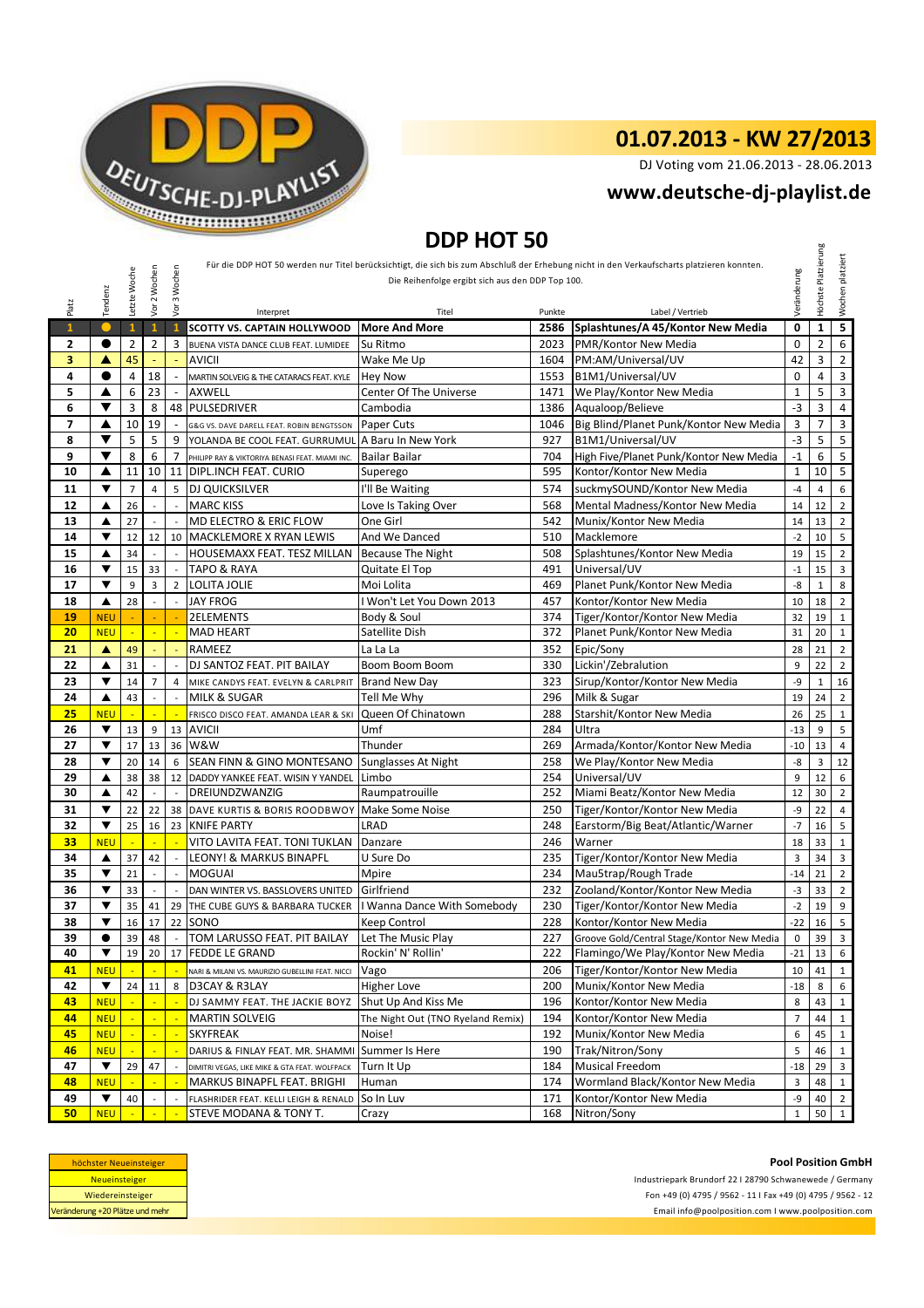

DJ Voting vom 21.06.2013 - 28.06.2013

## **<www.deutsche-dj-playlist.de>**

## **DDP HOT 50**

| DDP HUT 50   |                      |                |                          |                          |                                                          |                                                  |            |                                                                                                                                            |                |                     |                                  |
|--------------|----------------------|----------------|--------------------------|--------------------------|----------------------------------------------------------|--------------------------------------------------|------------|--------------------------------------------------------------------------------------------------------------------------------------------|----------------|---------------------|----------------------------------|
|              |                      |                |                          |                          |                                                          |                                                  |            | Für die DDP HOT 50 werden nur Titel berücksichtigt, die sich bis zum Abschluß der Erhebung nicht in den Verkaufscharts platzieren konnten. |                | Höchste Platzierung |                                  |
|              |                      | Letzte Woche   | 2 Wochen                 | 3 Wochen                 |                                                          | Die Reihenfolge ergibt sich aus den DDP Top 100. |            |                                                                                                                                            | Veränderung    |                     | Wochen platziert                 |
|              | Tendenz              |                |                          |                          |                                                          |                                                  |            |                                                                                                                                            |                |                     |                                  |
| Platz        |                      |                | yor                      | yor                      | Interpret                                                | Titel                                            | Punkte     | Label / Vertrieb                                                                                                                           |                |                     |                                  |
| $\mathbf{1}$ |                      | $\mathbf{1}$   | $\mathbf{1}$             | $\mathbf{1}$             | <b>SCOTTY VS. CAPTAIN HOLLYWOOD</b>                      | <b>More And More</b>                             | 2586       | Splashtunes/A 45/Kontor New Media                                                                                                          | 0              | $\mathbf{1}$        | $\overline{\mathbf{5}}$          |
| $\mathbf{2}$ | 0                    | 2              | $\overline{2}$           | 3                        | BUENA VISTA DANCE CLUB FEAT. LUMIDEE                     | Su Ritmo                                         | 2023       | PMR/Kontor New Media                                                                                                                       | $\mathbf 0$    | 2                   | 6                                |
| 3            | A                    | 45             |                          |                          | <b>AVICII</b>                                            | Wake Me Up                                       | 1604       | PM:AM/Universal/UV                                                                                                                         | 42             | 3                   | $\overline{2}$                   |
| 4            | 0                    | 4              | 18                       |                          | MARTIN SOLVEIG & THE CATARACS FEAT. KYLE                 | <b>Hey Now</b>                                   | 1553       | B1M1/Universal/UV                                                                                                                          | $\mathbf 0$    | 4                   | 3                                |
| 5            | ▲                    | 6              | 23                       | $\blacksquare$           | <b>AXWELL</b>                                            | Center Of The Universe<br>1471                   |            | We Play/Kontor New Media                                                                                                                   | $\mathbf 1$    | 5                   | 3                                |
| 6            | ▼                    | 3              | 8                        |                          | 48 PULSEDRIVER                                           | Cambodia                                         | 1386       | Aqualoop/Believe                                                                                                                           | $-3$           | 3                   | 4                                |
| 7            | ▲                    | 10             | 19                       |                          | G&G VS. DAVE DARELL FEAT. ROBIN BENGTSSON                | Paper Cuts                                       | 1046       | Big Blind/Planet Punk/Kontor New Media                                                                                                     | 3              | $\overline{7}$      | $\overline{3}$                   |
| 8            | ▼                    | 5              | 5                        | 9                        | YOLANDA BE COOL FEAT. GURRUMUL                           | A Baru In New York                               | 927        | B1M1/Universal/UV                                                                                                                          | $-3$           | 5                   | 5                                |
| 9            | ▼                    | 8              | 6                        | $\overline{7}$           | PHILIPP RAY & VIKTORIYA BENASI FEAT. MIAMI INC.          | Bailar Bailar                                    | 704        | High Five/Planet Punk/Kontor New Media                                                                                                     | $-1$           | 6                   | 5                                |
| 10           | ▲                    | 11             | 10                       | 11                       | DIPL.INCH FEAT. CURIO                                    | Superego                                         | 595        | Kontor/Kontor New Media                                                                                                                    | $\mathbf{1}$   | 10                  | 5                                |
| 11           | ▼                    | $\overline{7}$ | $\overline{4}$           | 5                        | <b>DJ QUICKSILVER</b>                                    | I'll Be Waiting                                  | 574        | suckmySOUND/Kontor New Media                                                                                                               | $-4$           | 4                   | 6                                |
| 12           | ▲                    | 26             | $\overline{\phantom{a}}$ | $\overline{\phantom{a}}$ | <b>MARC KISS</b>                                         | Love Is Taking Over                              | 568        | Mental Madness/Kontor New Media                                                                                                            | 14             | 12                  | $\overline{2}$                   |
| 13           | ▲                    | 27             |                          |                          | MD ELECTRO & ERIC FLOW                                   | One Girl                                         | 542        | Munix/Kontor New Media                                                                                                                     | 14             | 13                  | $\overline{2}$                   |
| 14           | ▼                    | 12             | 12                       | 10                       | <b>MACKLEMORE X RYAN LEWIS</b>                           | And We Danced                                    | 510        | Macklemore                                                                                                                                 | $-2$           | 10                  | 5                                |
| 15           | ▲                    | 34             |                          |                          | HOUSEMAXX FEAT. TESZ MILLAN                              | <b>Because The Night</b>                         | 508        | Splashtunes/Kontor New Media                                                                                                               | 19             | 15                  | $\overline{2}$                   |
| 16           | ▼                    | 15             | 33                       | $\sim$                   | <b>TAPO &amp; RAYA</b>                                   | Quitate El Top                                   | 491        | Universal/UV                                                                                                                               | $-1$           | 15                  | 3                                |
| 17           | ▼                    | 9              | 3                        | $\overline{2}$           | LOLITA JOLIE                                             | Moi Lolita                                       | 469        | Planet Punk/Kontor New Media                                                                                                               | -8             | $\mathbf{1}$        | 8                                |
| 18           | ▲                    | 28             | $\overline{a}$           | $\overline{a}$           | JAY FROG                                                 | I Won't Let You Down 2013                        | 457        | Kontor/Kontor New Media                                                                                                                    | 10             | 18                  | $\overline{2}$                   |
| 19           | <b>NEU</b>           |                |                          |                          | <b>2ELEMENTS</b>                                         | Body & Soul                                      | 374        | Tiger/Kontor/Kontor New Media                                                                                                              | 32             | 19                  | $\mathbf{1}$                     |
| 20           | <b>NEU</b>           | $\blacksquare$ | $\blacksquare$           |                          | <b>MAD HEART</b>                                         | Satellite Dish                                   | 372        | Planet Punk/Kontor New Media                                                                                                               | 31             | 20                  | $\mathbf{1}$                     |
| 21           | A                    | 49             |                          |                          | RAMEEZ                                                   | La La La                                         | 352        | Epic/Sony                                                                                                                                  | 28             | 21                  | $\overline{2}$                   |
| 22           | ▲                    | 31             |                          |                          | DJ SANTOZ FEAT. PIT BAILAY                               | Boom Boom Boom                                   | 330        | Lickin'/Zebralution                                                                                                                        | 9              | 22                  | $\overline{2}$                   |
| 23           | ▼                    | 14             | $\overline{7}$           | 4                        | MIKE CANDYS FEAT. EVELYN & CARLPRIT                      | <b>Brand New Day</b>                             | 323        | Sirup/Kontor/Kontor New Media                                                                                                              | -9             | $\mathbf{1}$        | 16                               |
| 24           | ▲                    | 43             | $\overline{a}$           | $\overline{a}$           | <b>MILK &amp; SUGAR</b>                                  | Tell Me Why                                      | 296        | Milk & Sugar                                                                                                                               | 19             | 24                  | $\overline{2}$                   |
| 25           | <b>NEU</b>           | ÷              |                          |                          | FRISCO DISCO FEAT. AMANDA LEAR & SKI                     | Queen Of Chinatown                               | 288        | Starshit/Kontor New Media                                                                                                                  | 26             | 25                  | $\mathbf{1}$                     |
| 26           | ▼                    | 13             | 9                        |                          | 13 AVICII                                                | Umf                                              | 284        | Ultra                                                                                                                                      | $-13$          | 9                   | 5                                |
| 27           | ▼                    | 17             | 13                       |                          | 36 W&W                                                   | Thunder                                          | 269        | Armada/Kontor/Kontor New Media                                                                                                             | $-10$          | 13                  | $\overline{4}$                   |
| 28           | ▼                    | 20             | 14                       | 6                        | SEAN FINN & GINO MONTESANO                               | Sunglasses At Night                              | 258        | We Play/Kontor New Media                                                                                                                   | -8             | 3                   | 12                               |
| 29<br>30     | ▲<br>▲               | 38<br>42       | 38<br>$\overline{a}$     | $\sim$                   | 12 DADDY YANKEE FEAT. WISIN Y YANDEL<br>DREIUNDZWANZIG   | Limbo                                            | 254<br>252 | Universal/UV<br>Miami Beatz/Kontor New Media                                                                                               | 9<br>12        | 12                  | 6<br>$\overline{2}$              |
|              |                      |                |                          |                          |                                                          | Raumpatrouille                                   |            |                                                                                                                                            |                | 30                  |                                  |
| 31<br>32     | ▼<br>▼               | 22             | 22                       |                          | 38 DAVE KURTIS & BORIS ROODBWOY                          | <b>Make Some Noise</b>                           | 250        | Tiger/Kontor/Kontor New Media                                                                                                              | -9<br>$-7$     | 22                  | $\overline{4}$                   |
|              |                      | 25             | 16<br>÷                  |                          | 23 KNIFE PARTY                                           | LRAD<br>Danzare                                  | 248<br>246 | Earstorm/Big Beat/Atlantic/Warner                                                                                                          |                | 16                  | 5                                |
| 33<br>34     | <b>NEU</b><br>▲      | 37             | 42                       |                          | VITO LAVITA FEAT. TONI TUKLAN<br>LEONY! & MARKUS BINAPFL | U Sure Do                                        | 235        | Warner<br>Tiger/Kontor/Kontor New Media                                                                                                    | 18<br>3        | 33<br>34            | $\mathbf{1}$<br>3                |
| 35           | ▼                    | 21             | $\mathbb{Z}$             | $\sim$                   | <b>MOGUAI</b>                                            | Mpire                                            | 234        | Mau5trap/Rough Trade                                                                                                                       | $-14$          | 21                  |                                  |
| 36           | ▼                    | 33             | ÷,                       |                          | DAN WINTER VS. BASSLOVERS UNITED                         | Girlfriend                                       | 232        | Zooland/Kontor/Kontor New Media                                                                                                            | -3             | 33                  | $\overline{2}$<br>$\overline{2}$ |
| 37           | ▼                    | 35             | 41                       | 29                       | THE CUBE GUYS & BARBARA TUCKER                           | I Wanna Dance With Somebody                      | 230        | Tiger/Kontor/Kontor New Media                                                                                                              | $-2$           | 19                  | 9                                |
| 38           | ▼                    | 16             | 17                       | 22                       | SONO                                                     | Keep Control                                     | 228        | Kontor/Kontor New Media                                                                                                                    | $-22$          | 16                  | 5                                |
| 39           |                      |                | 39 48                    |                          | TOM LARUSSO FEAT. PIT BAILAY                             | Let The Music Play                               | 227        | Groove Gold/Central Stage/Kontor New Media                                                                                                 | 0              | 39 3                |                                  |
| 40           | ▼                    | 19             |                          |                          | 20 17 FEDDE LE GRAND                                     | Rockin' N' Rollin'                               | 222        | Flamingo/We Play/Kontor New Media                                                                                                          | $-21$          | 13                  | 6                                |
| 41           | <b>NEU</b>           |                |                          |                          | NARI & MILANI VS. MAURIZIO GUBELLINI FEAT. NICCI         | Vago                                             | 206        | Tiger/Kontor/Kontor New Media                                                                                                              | 10             | 41                  | 1                                |
| 42           | ▼                    | 24             | 11                       | 8                        | D3CAY & R3LAY                                            | <b>Higher Love</b>                               | 200        | Munix/Kontor New Media                                                                                                                     | $-18$          | 8                   | 6                                |
| 43           | <b>NEU</b>           |                |                          |                          | DJ SAMMY FEAT. THE JACKIE BOYZ                           | Shut Up And Kiss Me                              | 196        | Kontor/Kontor New Media                                                                                                                    | 8              | 43                  | 1                                |
| 44           | <b>NEU</b>           | ÷.             | $\mathbb{Z}^2$           |                          | <b>MARTIN SOLVEIG</b>                                    | The Night Out (TNO Ryeland Remix)                | 194        | Kontor/Kontor New Media                                                                                                                    | $\overline{7}$ | 44                  | 1                                |
| 45           | <b>NEU</b>           |                | $\blacksquare$           |                          | <b>SKYFREAK</b>                                          | Noise!                                           | 192        | Munix/Kontor New Media                                                                                                                     | 6              | 45                  | 1                                |
| 46           | <b>NEU</b>           |                | ÷                        |                          | DARIUS & FINLAY FEAT. MR. SHAMMI                         | Summer Is Here                                   | 190        | Trak/Nitron/Sony                                                                                                                           | 5              | 46                  | -1                               |
| 47           | $\blacktriangledown$ | 29             | 47                       |                          | DIMITRI VEGAS, LIKE MIKE & GTA FEAT. WOLFPACK            | Turn It Up                                       | 184        | <b>Musical Freedom</b>                                                                                                                     | -18            | 29                  |                                  |
| 48           | <b>NEU</b>           |                |                          |                          | MARKUS BINAPFL FEAT. BRIGHI                              | Human                                            | 174        | Wormland Black/Kontor New Media                                                                                                            | 3              | 48                  | 1                                |
| 49           | $\blacktriangledown$ | 40             |                          |                          | FLASHRIDER FEAT. KELLI LEIGH & RENALD                    | So In Luv                                        | 171        | Kontor/Kontor New Media                                                                                                                    | -9             | 40                  | $\overline{2}$                   |
| 50           | <b>NEU</b>           |                |                          |                          | STEVE MODANA & TONY T.                                   | Crazy                                            | 168        | Nitron/Sony                                                                                                                                | $\mathbf{1}$   | 50                  | 1                                |

<Email info@poolposition.com I www.poolposition.com> Industriepark Brundorf 22 I 28790 Schwanewede / Germany Fon +49 (0) 4795 / 9562 - 11 I Fax +49 (0) 4795 / 9562 - 12 **Pool Position GmbH**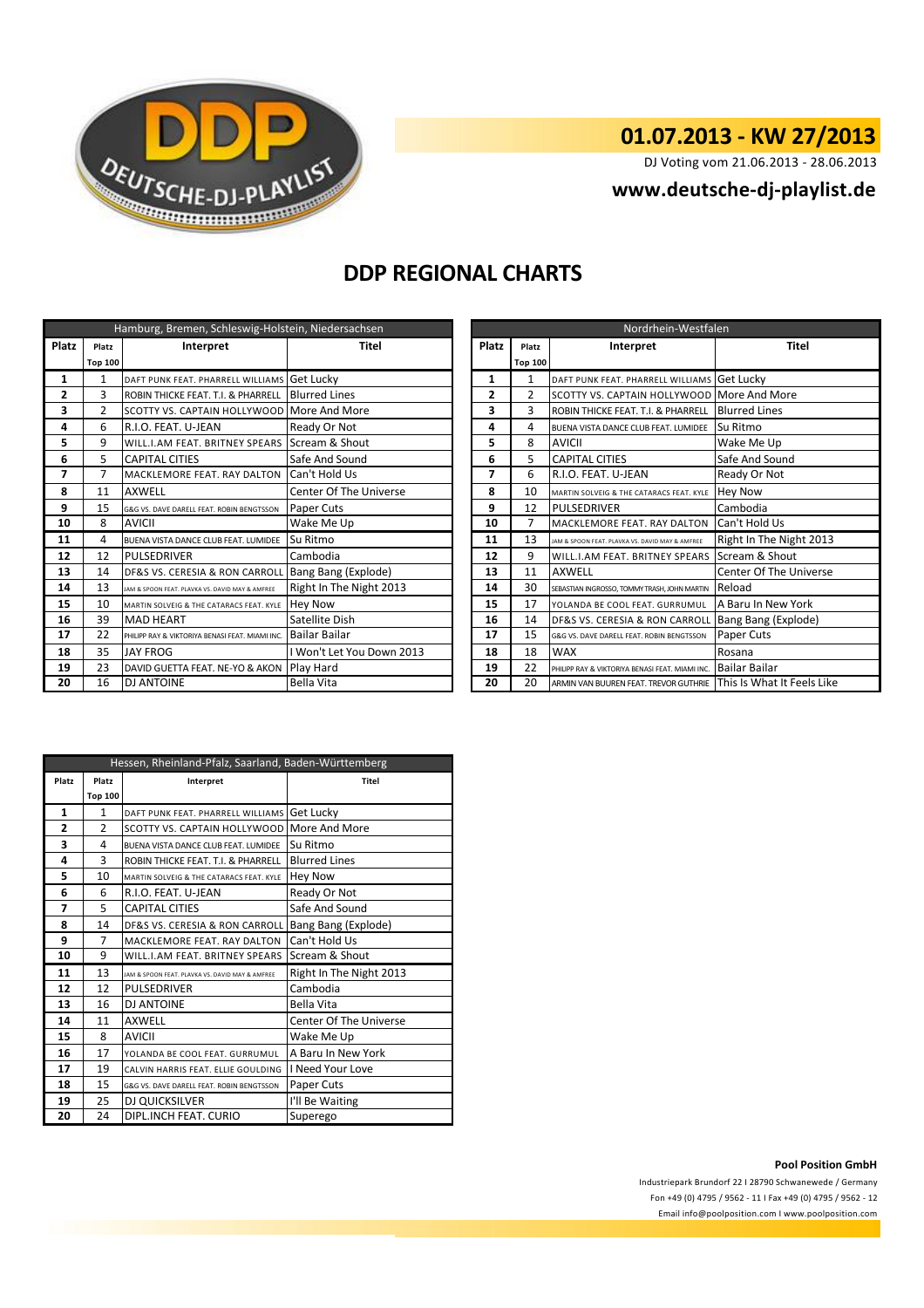

DJ Voting vom 21.06.2013 - 28.06.2013

## **<www.deutsche-dj-playlist.de>**

## **DDP REGIONAL CHARTS**

|              |                | Hamburg, Bremen, Schleswig-Holstein, Niedersachsen |                               | Nordrhein-Westfalen |                |                                                                  |                               |  |  |
|--------------|----------------|----------------------------------------------------|-------------------------------|---------------------|----------------|------------------------------------------------------------------|-------------------------------|--|--|
| <b>Platz</b> | Platz          | Interpret                                          | <b>Titel</b>                  | Platz               | Platz          | Interpret                                                        | <b>Titel</b>                  |  |  |
|              | <b>Top 100</b> |                                                    |                               |                     | <b>Top 100</b> |                                                                  |                               |  |  |
| 1            | 1              | DAFT PUNK FEAT. PHARRELL WILLIAMS                  | <b>Get Lucky</b>              | 1                   | 1              | DAFT PUNK FEAT. PHARRELL WILLIAMS                                | <b>Get Lucky</b>              |  |  |
| 2            | 3              | ROBIN THICKE FEAT. T.I. & PHARRELL                 | <b>Blurred Lines</b>          | $\overline{2}$      | $\overline{2}$ | SCOTTY VS. CAPTAIN HOLLYWOOD More And More                       |                               |  |  |
| 3            | 2              | SCOTTY VS. CAPTAIN HOLLYWOOD More And More         |                               | 3                   | 3              | ROBIN THICKE FEAT. T.I. & PHARRELL                               | <b>Blurred Lines</b>          |  |  |
| 4            | 6              | R.I.O. FEAT. U-JEAN                                | Ready Or Not                  | 4                   | 4              | BUENA VISTA DANCE CLUB FEAT. LUMIDEE                             | Su Ritmo                      |  |  |
| 5            | 9              | WILL.I.AM FEAT. BRITNEY SPEARS                     | Scream & Shout                | 5                   | 8              | <b>AVICII</b>                                                    | Wake Me Up                    |  |  |
| 6            | 5              | <b>CAPITAL CITIES</b>                              | Safe And Sound                | 6                   | 5              | <b>CAPITAL CITIES</b>                                            | Safe And Sound                |  |  |
| 7            | 7              | MACKLEMORE FEAT. RAY DALTON                        | Can't Hold Us                 | 7                   | 6              | R.I.O. FEAT. U-JEAN                                              | Ready Or Not                  |  |  |
| 8            | 11             | <b>AXWELL</b>                                      | <b>Center Of The Universe</b> | 8                   | 10             | MARTIN SOLVEIG & THE CATARACS FEAT. KYLE                         | <b>Hey Now</b>                |  |  |
| 9            | 15             | G&G VS. DAVE DARELL FEAT. ROBIN BENGTSSON          | <b>Paper Cuts</b>             | 9                   | 12             | <b>PULSEDRIVER</b>                                               | Cambodia                      |  |  |
| 10           | 8              | <b>AVICII</b>                                      | Wake Me Up                    | 10                  | $\overline{7}$ | MACKLEMORE FEAT. RAY DALTON                                      | Can't Hold Us                 |  |  |
| 11           | 4              | BUENA VISTA DANCE CLUB FEAT. LUMIDEE               | Su Ritmo                      | 11                  | 13             | JAM & SPOON FEAT. PLAVKA VS. DAVID MAY & AMFREE                  | Right In The Night 2013       |  |  |
| 12           | 12             | <b>PULSEDRIVER</b>                                 | Cambodia                      | 12                  | 9              | WILL.I.AM FEAT. BRITNEY SPEARS                                   | Scream & Shout                |  |  |
| 13           | 14             | DF&S VS. CERESIA & RON CARROLI                     | Bang Bang (Explode)           | 13                  | 11             | <b>AXWELL</b>                                                    | <b>Center Of The Universe</b> |  |  |
| 14           | 13             | JAM & SPOON FEAT. PLAVKA VS. DAVID MAY & AMFREE    | Right In The Night 2013       | 14                  | 30             | SEBASTIAN INGROSSO, TOMMY TRASH, JOHN MARTIN                     | Reload                        |  |  |
| 15           | 10             | MARTIN SOLVEIG & THE CATARACS FEAT. KYLE           | <b>Hey Now</b>                | 15                  | 17             | YOLANDA BE COOL FEAT. GURRUMUL                                   | A Baru In New York            |  |  |
| 16           | 39             | <b>MAD HEART</b>                                   | Satellite Dish                | 16                  | 14             | DF&S VS. CERESIA & RON CARROLL                                   | Bang Bang (Explode)           |  |  |
| 17           | 22             | PHILIPP RAY & VIKTORIYA BENASI FEAT. MIAMI INC.    | Bailar Bailar                 | 17                  | 15             | G&G VS. DAVE DARELL FEAT. ROBIN BENGTSSON                        | Paper Cuts                    |  |  |
| 18           | 35             | <b>JAY FROG</b>                                    | I Won't Let You Down 2013     | 18                  | 18             | <b>WAX</b>                                                       | Rosana                        |  |  |
| 19           | 23             | DAVID GUETTA FEAT. NE-YO & AKON                    | Play Hard                     | 19                  | 22             | PHILIPP RAY & VIKTORIYA BENASI FEAT. MIAMI INC.                  | <b>Bailar Bailar</b>          |  |  |
| 20           | 16             | <b>DJ ANTOINE</b>                                  | Bella Vita                    | 20                  | 20             | ARMIN VAN BUUREN FEAT. TREVOR GUTHRIE This Is What It Feels Like |                               |  |  |

|              |                | Nordrhein-Westfalen                             |                               |
|--------------|----------------|-------------------------------------------------|-------------------------------|
| <b>Platz</b> | Platz          | Interpret                                       | Titel                         |
|              | <b>Top 100</b> |                                                 |                               |
| $\mathbf{1}$ | $\mathbf{1}$   | DAFT PUNK FEAT. PHARRELL WILLIAMS               | Get Lucky                     |
| 2            | $\overline{2}$ | SCOTTY VS. CAPTAIN HOLLYWOOD More And More      |                               |
| 3            | 3              | ROBIN THICKE FEAT. T.I. & PHARRELL              | <b>Blurred Lines</b>          |
| 4            | 4              | BUENA VISTA DANCE CLUB FEAT. LUMIDEE            | Su Ritmo                      |
| 5            | 8              | AVICII                                          | Wake Me Up                    |
| 6            | 5              | <b>CAPITAL CITIES</b>                           | Safe And Sound                |
| 7            | 6              | R.I.O. FEAT. U-JEAN                             | Ready Or Not                  |
| 8            | 10             | MARTIN SOLVEIG & THE CATARACS FEAT. KYLE        | <b>Hey Now</b>                |
| 9            | 12             | PULSEDRIVER                                     | Cambodia                      |
| 10           | 7              | MACKLEMORE FEAT. RAY DALTON                     | Can't Hold Us                 |
| 11           | 13             | JAM & SPOON FEAT. PLAVKA VS. DAVID MAY & AMFREE | Right In The Night 2013       |
| 12           | 9              | WILL.I.AM FEAT. BRITNEY SPEARS                  | Scream & Shout                |
| 13           | 11             | <b>AXWELL</b>                                   | <b>Center Of The Universe</b> |
| 14           | 30             | SEBASTIAN INGROSSO, TOMMY TRASH, JOHN MARTIN    | Reload                        |
| 15           | 17             | YOLANDA BE COOL FEAT. GURRUMUL                  | A Baru In New York            |
| 16           | 14             | DF&S VS. CERESIA & RON CARROLL                  | Bang Bang (Explode)           |
| 17           | 15             | G&G VS. DAVE DARELL FEAT. ROBIN BENGTSSON       | Paper Cuts                    |
| 18           | 18             | <b>WAX</b>                                      | Rosana                        |
| 19           | 22             | PHILIPP RAY & VIKTORIYA BENASI FEAT, MIAMI INC. | <b>Bailar Bailar</b>          |
| 20           | 20             | ARMIN VAN BUUREN FEAT. TREVOR GUTHRIE           | This Is What It Feels Like    |

|                | Hessen, Rheinland-Pfalz, Saarland, Baden-Württemberg |                                                 |                               |  |  |  |  |  |
|----------------|------------------------------------------------------|-------------------------------------------------|-------------------------------|--|--|--|--|--|
| Platz          | Platz                                                | Interpret                                       | Titel                         |  |  |  |  |  |
|                | <b>Top 100</b>                                       |                                                 |                               |  |  |  |  |  |
| $\mathbf{1}$   | $\mathbf{1}$                                         | DAFT PUNK FEAT. PHARRELL WILLIAMS               | Get Lucky                     |  |  |  |  |  |
| $\overline{2}$ | $\overline{2}$                                       | SCOTTY VS. CAPTAIN HOLLYWOOD                    | More And More                 |  |  |  |  |  |
| 3              | 4                                                    | BUENA VISTA DANCE CLUB FEAT. LUMIDEE            | Su Ritmo                      |  |  |  |  |  |
| 4              | ξ                                                    | ROBIN THICKE FEAT. T.I. & PHARRELL              | <b>Blurred Lines</b>          |  |  |  |  |  |
| 5              | 10                                                   | MARTIN SOLVEIG & THE CATARACS FEAT. KYLE        | <b>Hey Now</b>                |  |  |  |  |  |
| 6              | 6                                                    | R.I.O. FEAT. U-JEAN                             | Ready Or Not                  |  |  |  |  |  |
| 7              | 5                                                    | <b>CAPITAL CITIES</b>                           | Safe And Sound                |  |  |  |  |  |
| 8              | 14                                                   | DF&S VS. CERESIA & RON CARROLL                  | Bang Bang (Explode)           |  |  |  |  |  |
| 9              | $\overline{7}$                                       | MACKLEMORE FEAT. RAY DALTON                     | Can't Hold Us                 |  |  |  |  |  |
| 10             | 9                                                    | WILL.I.AM FEAT. BRITNEY SPEARS                  | Scream & Shout                |  |  |  |  |  |
| 11             | 13                                                   | JAM & SPOON FEAT. PLAVKA VS. DAVID MAY & AMFREE | Right In The Night 2013       |  |  |  |  |  |
| 12             | 12                                                   | <b>PULSEDRIVER</b>                              | Cambodia                      |  |  |  |  |  |
| 13             | 16                                                   | DJ ANTOINE                                      | Bella Vita                    |  |  |  |  |  |
| 14             | 11                                                   | <b>AXWELL</b>                                   | <b>Center Of The Universe</b> |  |  |  |  |  |
| 15             | 8                                                    | AVICII                                          | Wake Me Up                    |  |  |  |  |  |
| 16             | 17                                                   | YOLANDA BE COOL FEAT. GURRUMUL                  | A Baru In New York            |  |  |  |  |  |
| 17             | 19                                                   | CALVIN HARRIS FEAT. ELLIE GOULDING              | I Need Your Love              |  |  |  |  |  |
| 18             | 15                                                   | G&G VS. DAVE DARELL FEAT. ROBIN BENGTSSON       | Paper Cuts                    |  |  |  |  |  |
| 19             | 25                                                   | DJ QUICKSILVER                                  | I'll Be Waiting               |  |  |  |  |  |
| 20             | 24                                                   | DIPL.INCH FEAT. CURIO                           | Superego                      |  |  |  |  |  |

#### **Pool Position GmbH**

Industriepark Brundorf 22 I 28790 Schwanewede / Germany Fon +49 (0) 4795 / 9562 - 11 I Fax +49 (0) 4795 / 9562 - 12 <Email info@poolposition.com I www.poolposition.com>